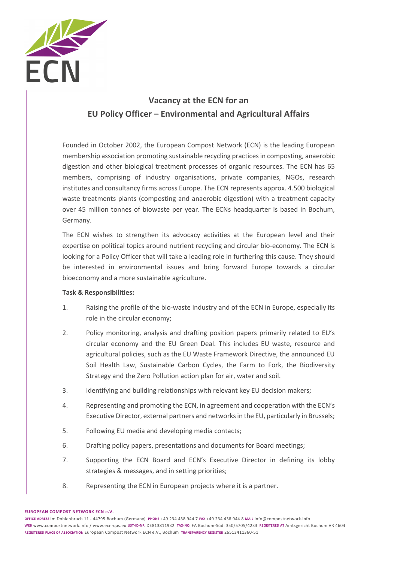

# **Vacancy at the ECN for an EU Policy Officer – Environmental and Agricultural Affairs**

Founded in October 2002, the European Compost Network (ECN) is the leading European membership association promoting sustainable recycling practices in composting, anaerobic digestion and other biological treatment processes of organic resources. The ECN has 65 members, comprising of industry organisations, private companies, NGOs, research institutes and consultancy firms across Europe. The ECN represents approx. 4.500 biological waste treatments plants (composting and anaerobic digestion) with a treatment capacity over 45 million tonnes of biowaste per year. The ECNs headquarter is based in Bochum, Germany.

The ECN wishes to strengthen its advocacy activities at the European level and their expertise on political topics around nutrient recycling and circular bio-economy. The ECN is looking for a Policy Officer that will take a leading role in furthering this cause. They should be interested in environmental issues and bring forward Europe towards a circular bioeconomy and a more sustainable agriculture.

#### **Task & Responsibilities:**

- 1. Raising the profile of the bio-waste industry and of the ECN in Europe, especially its role in the circular economy;
- 2. Policy monitoring, analysis and drafting position papers primarily related to EU's circular economy and the EU Green Deal. This includes EU waste, resource and agricultural policies, such as the EU Waste Framework Directive, the announced EU Soil Health Law, Sustainable Carbon Cycles, the Farm to Fork, the Biodiversity Strategy and the Zero Pollution action plan for air, water and soil.
- 3. Identifying and building relationships with relevant key EU decision makers;
- 4. Representing and promoting the ECN, in agreement and cooperation with the ECN's Executive Director, external partners and networks in the EU, particularly in Brussels;
- 5. Following EU media and developing media contacts;
- 6. Drafting policy papers, presentations and documents for Board meetings;
- 7. Supporting the ECN Board and ECN's Executive Director in defining its lobby strategies & messages, and in setting priorities;
- 8. Representing the ECN in European projects where it is a partner.

**EUROPEAN COMPOST NETWORK ECN e.V.**

**OFFICE-ADRESS** Im Dohlenbruch 11 - 44795 Bochum (Germany) **PHONE** +49 234 438 944 7 **FAX** +49 234 438 944 8 **MAIL** info@compostnetwork.info **WEB** www.compostnetwork.info / www.ecn-qas.eu **UST-ID-NR.** DE813811932 **TAX-NO.** FA Bochum-Süd: 350/5705/4233 **REGISTERED AT** Amtsgericht Bochum VR 4604 **REGISTERED PLACE OF ASSOCIATION** European Compost Network ECN e.V., Bochum **TRANSPARENCY REGISTER** 26513411360-51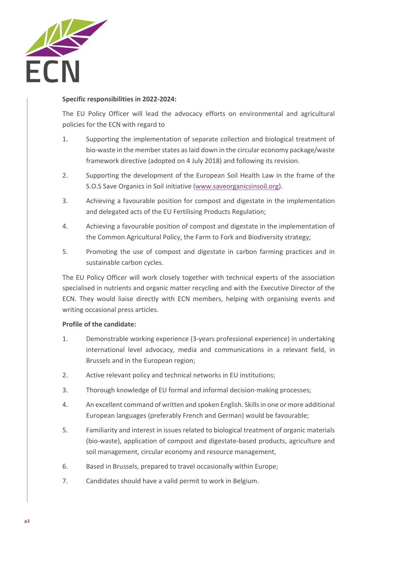

### **Specific responsibilities in 2022-2024:**

The EU Policy Officer will lead the advocacy efforts on environmental and agricultural policies for the ECN with regard to

- 1. Supporting the implementation of separate collection and biological treatment of bio-waste in the member states as laid down in the circular economy package/waste framework directive (adopted on 4 July 2018) and following its revision.
- 2. Supporting the development of the European Soil Health Law in the frame of the S.O.S Save Organics in Soil initiative (www.saveorganicsinsoil.org).
- 3. Achieving a favourable position for compost and digestate in the implementation and delegated acts of the EU Fertilising Products Regulation;
- 4. Achieving a favourable position of compost and digestate in the implementation of the Common Agricultural Policy, the Farm to Fork and Biodiversity strategy;
- 5. Promoting the use of compost and digestate in carbon farming practices and in sustainable carbon cycles.

The EU Policy Officer will work closely together with technical experts of the association specialised in nutrients and organic matter recycling and with the Executive Director of the ECN. They would liaise directly with ECN members, helping with organising events and writing occasional press articles.

## **Profile of the candidate:**

- 1. Demonstrable working experience (3-years professional experience) in undertaking international level advocacy, media and communications in a relevant field, in Brussels and in the European region;
- 2. Active relevant policy and technical networks in EU institutions;
- 3. Thorough knowledge of EU formal and informal decision-making processes;
- 4. An excellent command of written and spoken English. Skills in one or more additional European languages (preferably French and German) would be favourable;
- 5. Familiarity and interest in issues related to biological treatment of organic materials (bio-waste), application of compost and digestate-based products, agriculture and soil management, circular economy and resource management,
- 6. Based in Brussels, prepared to travel occasionally within Europe;
- 7. Candidates should have a valid permit to work in Belgium.